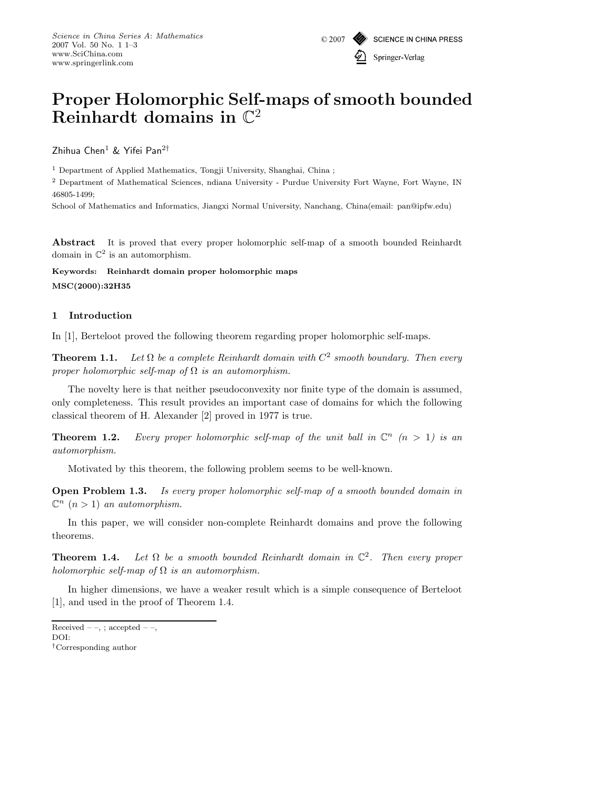# **Proper Holomorphic Self-maps of smooth bounded Reinhardt domains in** C<sup>2</sup>

Zhihua Chen<sup>1</sup> & Yifei Pan<sup>2†</sup>

<sup>1</sup> Department of Applied Mathematics, Tongji University, Shanghai, China ;

<sup>2</sup> Department of Mathematical Sciences, ndiana University - Purdue University Fort Wayne, Fort Wayne, IN 46805-1499;

School of Mathematics and Informatics, Jiangxi Normal University, Nanchang, China(email: pan@ipfw.edu)

**Abstract** It is proved that every proper holomorphic self-map of a smooth bounded Reinhardt domain in  $\mathbb{C}^2$  is an automorphism.

**Keywords: Reinhardt domain proper holomorphic maps MSC(2000):32H35**

## **1 Introduction**

In [1], Berteloot proved the following theorem regarding proper holomorphic self-maps.

**Theorem 1.1.** *Let*  $\Omega$  *be a complete Reinhardt domain with*  $C^2$  *smooth boundary. Then every proper holomorphic self-map of* Ω *is an automorphism.*

The novelty here is that neither pseudoconvexity nor finite type of the domain is assumed, only completeness. This result provides an important case of domains for which the following classical theorem of H. Alexander [2] proved in 1977 is true.

**Theorem 1.2.** *Every proper holomorphic self-map of the unit ball in*  $\mathbb{C}^n$  ( $n > 1$ ) is an *automorphism.*

Motivated by this theorem, the following problem seems to be well-known.

**Open Problem 1.3.** *Is every proper holomorphic self-map of a smooth bounded domain in*  $\mathbb{C}^n$   $(n > 1)$  *an automorphism.* 

In this paper, we will consider non-complete Reinhardt domains and prove the following theorems.

**Theorem 1.4.** *Let*  $\Omega$  *be a smooth bounded Reinhardt domain in*  $\mathbb{C}^2$ *. Then every proper holomorphic self-map of* Ω *is an automorphism.*

In higher dimensions, we have a weaker result which is a simple consequence of Berteloot [1], and used in the proof of Theorem 1.4.

Received – –, ; accepted – –,

DOI:

*<sup>†</sup>*Corresponding author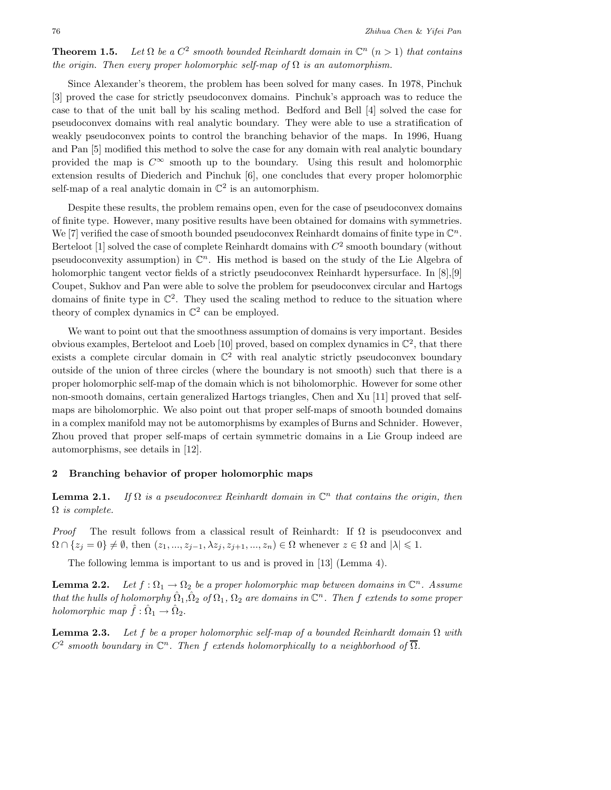**Theorem 1.5.** *Let*  $\Omega$  *be a*  $C^2$  *smooth bounded Reinhardt domain in*  $\mathbb{C}^n$  (*n* > 1) *that contains the origin. Then every proper holomorphic self-map of*  $\Omega$  *is an automorphism.* 

Since Alexander's theorem, the problem has been solved for many cases. In 1978, Pinchuk [3] proved the case for strictly pseudoconvex domains. Pinchuk's approach was to reduce the case to that of the unit ball by his scaling method. Bedford and Bell [4] solved the case for pseudoconvex domains with real analytic boundary. They were able to use a stratification of weakly pseudoconvex points to control the branching behavior of the maps. In 1996, Huang and Pan [5] modified this method to solve the case for any domain with real analytic boundary provided the map is  $C^{\infty}$  smooth up to the boundary. Using this result and holomorphic extension results of Diederich and Pinchuk [6], one concludes that every proper holomorphic self-map of a real analytic domain in  $\mathbb{C}^2$  is an automorphism.

Despite these results, the problem remains open, even for the case of pseudoconvex domains of finite type. However, many positive results have been obtained for domains with symmetries. We [7] verified the case of smooth bounded pseudoconvex Reinhardt domains of finite type in  $\mathbb{C}^n$ . Berteloot [1] solved the case of complete Reinhardt domains with  $C<sup>2</sup>$  smooth boundary (without pseudoconvexity assumption) in  $\mathbb{C}^n$ . His method is based on the study of the Lie Algebra of holomorphic tangent vector fields of a strictly pseudoconvex Reinhardt hypersurface. In [8], [9] Coupet, Sukhov and Pan were able to solve the problem for pseudoconvex circular and Hartogs domains of finite type in  $\mathbb{C}^2$ . They used the scaling method to reduce to the situation where theory of complex dynamics in  $\mathbb{C}^2$  can be employed.

We want to point out that the smoothness assumption of domains is very important. Besides obvious examples, Berteloot and Loeb [10] proved, based on complex dynamics in  $\mathbb{C}^2$ , that there exists a complete circular domain in  $\mathbb{C}^2$  with real analytic strictly pseudoconvex boundary outside of the union of three circles (where the boundary is not smooth) such that there is a proper holomorphic self-map of the domain which is not biholomorphic. However for some other non-smooth domains, certain generalized Hartogs triangles, Chen and Xu [11] proved that selfmaps are biholomorphic. We also point out that proper self-maps of smooth bounded domains in a complex manifold may not be automorphisms by examples of Burns and Schnider. However, Zhou proved that proper self-maps of certain symmetric domains in a Lie Group indeed are automorphisms, see details in [12].

#### **2 Branching behavior of proper holomorphic maps**

**Lemma 2.1.** *If*  $\Omega$  *is a pseudoconvex Reinhardt domain in*  $\mathbb{C}^n$  *that contains the origin, then* Ω *is complete.*

*Proof* The result follows from a classical result of Reinhardt: If  $\Omega$  is pseudoconvex and  $\Omega \cap \{z_j = 0\} \neq \emptyset$ , then  $(z_1, ..., z_{j-1}, \lambda z_j, z_{j+1}, ..., z_n) \in \Omega$  whenever  $z \in \Omega$  and  $|\lambda| \leq 1$ .

The following lemma is important to us and is proved in [13] (Lemma 4).

**Lemma 2.2.** *Let*  $f : \Omega_1 \to \Omega_2$  *be a proper holomorphic map between domains in*  $\mathbb{C}^n$ *. Assume that the hulls of holomorphy*  $\hat{\Omega}_1, \hat{\Omega}_2$  *of*  $\Omega_1, \Omega_2$  *are domains in*  $\mathbb{C}^n$ *. Then f extends to some proper holomorphic map*  $\hat{f}: \hat{\Omega}_1 \to \hat{\Omega}_2$ .

**Lemma 2.3.** *Let* f *be a proper holomorphic self-map of a bounded Reinhardt domain* <sup>Ω</sup> *with*  $C^2$  *smooth boundary in*  $\mathbb{C}^n$ . Then f extends holomorphically to a neighborhood of  $\overline{\Omega}$ .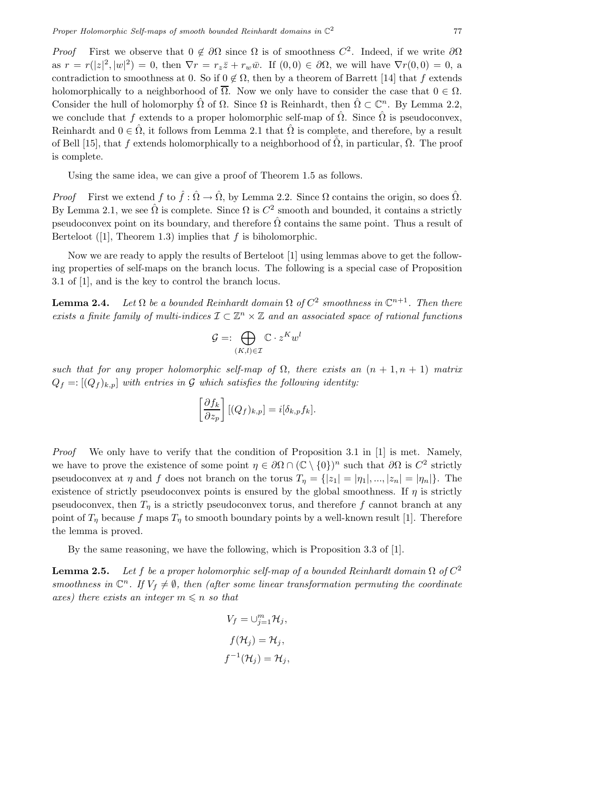*Proof* First we observe that  $0 \notin \partial\Omega$  since  $\Omega$  is of smoothness  $C^2$ . Indeed, if we write  $\partial\Omega$ as  $r = r(|z|^2, |w|^2) = 0$ , then  $\nabla r = r_z \overline{z} + r_w \overline{w}$ . If  $(0, 0) \in \partial \Omega$ , we will have  $\nabla r(0, 0) = 0$ , a contradiction to smoothness at 0. So if  $0 \not\subset \Omega$ , then by a theorem of Barrett [14] that f extends contradiction to smoothness at 0. So if  $0 \notin \Omega$ , then by a theorem of Barrett [14] that f extends holomorphically to a neighborhood of  $\overline{\Omega}$ . Now we only have to consider the case that  $0 \in \Omega$ . Consider the hull of holomorphy  $\hat{\Omega}$  of  $\Omega$ . Since  $\Omega$  is Reinhardt, then  $\hat{\Omega} \subset \mathbb{C}^n$ . By Lemma 2.2, we conclude that f extends to a proper holomorphic self-map of  $\hat{\Omega}$ . Since  $\hat{\Omega}$  is pseudoconvex, Reinhardt and  $0 \in \hat{\Omega}$ , it follows from Lemma 2.1 that  $\hat{\Omega}$  is complete, and therefore, by a result of Bell [15], that f extends holomorphically to a neighborhood of  $\overline{\hat{\Omega}}$ , in particular,  $\overline{\hat{\Omega}}$ . The proof is complete.

Using the same idea, we can give a proof of Theorem 1.5 as follows.

*Proof* First we extend f to  $\hat{f} : \hat{\Omega} \to \hat{\Omega}$ , by Lemma 2.2. Since  $\Omega$  contains the origin, so does  $\hat{\Omega}$ . By Lemma 2.1, we see  $\hat{\Omega}$  is complete. Since  $\Omega$  is  $C^2$  smooth and bounded, it contains a strictly pseudoconvex point on its boundary, and therefore  $\hat{\Omega}$  contains the same point. Thus a result of Berteloot  $(1]$ , Theorem 1.3) implies that f is biholomorphic.

Now we are ready to apply the results of Berteloot [1] using lemmas above to get the following properties of self-maps on the branch locus. The following is a special case of Proposition 3.1 of [1], and is the key to control the branch locus.

**Lemma 2.4.** *Let*  $\Omega$  *be a bounded Reinhardt domain*  $\Omega$  *of*  $C^2$  *smoothness in*  $\mathbb{C}^{n+1}$ *. Then there exists a finite family of multi-indices*  $\mathcal{I} \subset \mathbb{Z}^n \times \mathbb{Z}$  *and an associated space of rational functions* 

$$
\mathcal{G} =: \bigoplus_{(K,l) \in \mathcal{I}} \mathbb{C} \cdot z^K w^l
$$

*such that for any proper holomorphic self-map of*  $\Omega$ , there exists an  $(n + 1, n + 1)$  *matrix*  $Q_f = \left[ (Q_f)_{k,p} \right]$  *with entries in* G *which satisfies the following identity:* 

$$
\left[\frac{\partial f_k}{\partial z_p}\right] [(Q_f)_{k,p}] = i[\delta_{k,p} f_k].
$$

*Proof* We only have to verify that the condition of Proposition 3.1 in [1] is met. Namely, we have to prove the existence of some point  $\eta \in \partial\Omega \cap (\mathbb{C} \setminus \{0\})^n$  such that  $\partial\Omega$  is  $C^2$  strictly pseudoconvex at  $\eta$  and  $f$  does not branch on the torus  $T_{\eta} = \{ |z_1| = |\eta_1|, ..., |z_n| = |\eta_n| \}.$  The existence of strictly pseudoconvex points is ensured by the global smoothness. If  $\eta$  is strictly pseudoconvex, then  $T_n$  is a strictly pseudoconvex torus, and therefore f cannot branch at any point of  $T_n$  because f maps  $T_n$  to smooth boundary points by a well-known result [1]. Therefore the lemma is proved.

By the same reasoning, we have the following, which is Proposition 3.3 of [1].

**Lemma 2.5.** *Let* f *be a proper holomorphic self-map of a bounded Reinhardt domain*  $\Omega$  *of*  $C^2$ *smoothness in*  $\mathbb{C}^n$ . If  $V_f \neq \emptyset$ , then (after some linear transformation permuting the coordinate  $axes)$  there exists an integer  $m \leq n$  so that

$$
V_f = \bigcup_{j=1}^m \mathcal{H}_j,
$$
  

$$
f(\mathcal{H}_j) = \mathcal{H}_j,
$$
  

$$
f^{-1}(\mathcal{H}_j) = \mathcal{H}_j,
$$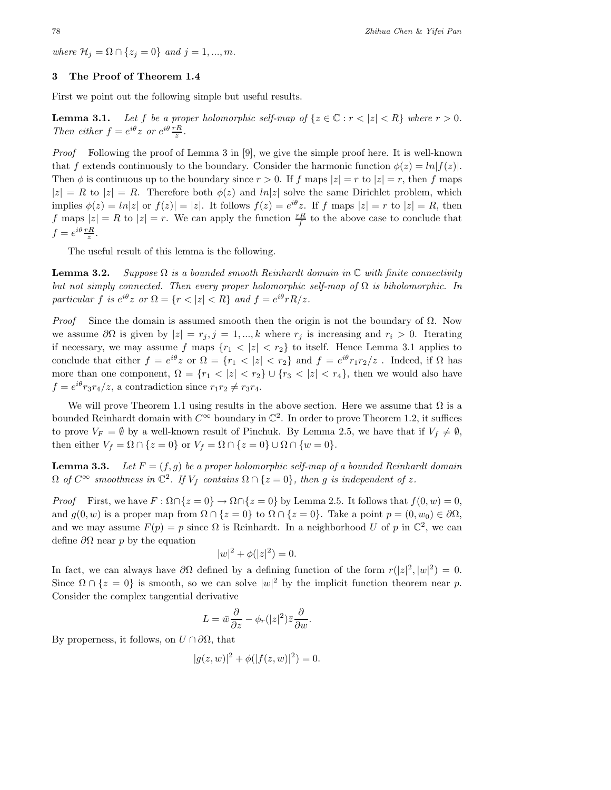*where*  $\mathcal{H}_j = \Omega \cap \{z_j = 0\}$  *and*  $j = 1, ..., m$ .

### **3 The Proof of Theorem 1.4**

First we point out the following simple but useful results.

**Lemma 3.1.** Let f be a proper holomorphic self-map of  $\{z \in \mathbb{C} : r < |z| < R\}$  where  $r > 0$ . *Then either*  $f = e^{i\theta} z$  *or*  $e^{i\theta} \frac{rR}{z}$ *.* 

*Proof* Following the proof of Lemma 3 in [9], we give the simple proof here. It is well-known that f extends continuously to the boundary. Consider the harmonic function  $\phi(z) = \ln |f(z)|$ . Then  $\phi$  is continuous up to the boundary since  $r > 0$ . If f maps  $|z| = r$  to  $|z| = r$ , then f maps  $|z| = R$  to  $|z| = R$ . Therefore both  $\phi(z)$  and  $ln|z|$  solve the same Dirichlet problem, which implies  $\phi(z) = \ln|z|$  or  $f(z)| = |z|$ . It follows  $f(z) = e^{i\theta}z$ . If f maps  $|z| = r$  to  $|z| = R$ , then f maps  $|z| = R$  to  $|z| = r$ . We can apply the function  $\frac{rR}{f}$  to the above case to conclude that  $f = e^{i\theta} \frac{rR}{z}.$ 

The useful result of this lemma is the following.

**Lemma 3.2.** *Suppose* Ω *is a bounded smooth Reinhardt domain in* C *with finite connectivity but not simply connected. Then every proper holomorphic self-map of*  $\Omega$  *is biholomorphic. In particular* f *is*  $e^{i\theta}z$  *or*  $\Omega = \{r < |z| < R\}$  *and*  $f = e^{i\theta}rR/z$ *.* 

*Proof* Since the domain is assumed smooth then the origin is not the boundary of  $\Omega$ . Now we assume  $\partial\Omega$  is given by  $|z| = r_j$ ,  $j = 1, ..., k$  where  $r_j$  is increasing and  $r_i > 0$ . Iterating if necessary, we may assume f maps  ${r_1 < |z| < r_2}$  to itself. Hence Lemma 3.1 applies to conclude that either  $f = e^{i\theta} z$  or  $\Omega = \{r_1 < |z| < r_2\}$  and  $f = e^{i\theta} r_1 r_2/z$ . Indeed, if  $\Omega$  has more than one component,  $\Omega = \{r_1 < |z| < r_2\} \cup \{r_3 < |z| < r_4\}$ , then we would also have  $f = e^{i\theta} r_3 r_4/z$ , a contradiction since  $r_1 r_2 \neq r_3 r_4$ .

We will prove Theorem 1.1 using results in the above section. Here we assume that  $\Omega$  is a bounded Reinhardt domain with  $C^{\infty}$  boundary in  $\mathbb{C}^2$ . In order to prove Theorem 1.2, it suffices to prove  $V_F = \emptyset$  by a well-known result of Pinchuk. By Lemma 2.5, we have that if  $V_f \neq \emptyset$ , then either  $V_f = \Omega \cap \{z = 0\}$  or  $V_f = \Omega \cap \{z = 0\} \cup \Omega \cap \{w = 0\}.$ 

**Lemma 3.3.** *Let*  $F = (f, g)$  *be a proper holomorphic self-map of a bounded Reinhardt domain*  $\Omega$  *of*  $C^{\infty}$  *smoothness in*  $\mathbb{C}^2$ *. If*  $V_f$  *contains*  $\Omega \cap \{z = 0\}$ *, then g is independent of z.* 

*Proof* First, we have  $F : \Omega \cap \{z = 0\} \to \Omega \cap \{z = 0\}$  by Lemma 2.5. It follows that  $f(0, w) = 0$ , and  $g(0, w)$  is a proper map from  $\Omega \cap \{z = 0\}$  to  $\Omega \cap \{z = 0\}$ . Take a point  $p = (0, w_0) \in \partial\Omega$ , and we may assume  $F(p) = p$  since  $\Omega$  is Reinhardt. In a neighborhood U of p in  $\mathbb{C}^2$ , we can define  $\partial\Omega$  near p by the equation

$$
|w|^2 + \phi(|z|^2) = 0.
$$

In fact, we can always have  $\partial\Omega$  defined by a defining function of the form  $r(|z|^2, |w|^2) = 0$ .<br>Since  $\Omega \cap [z = 0]$  is smooth as we see solve  $|w|^2$  by the implicit function theorem near n Since  $\Omega \cap \{z = 0\}$  is smooth, so we can solve  $|w|^2$  by the implicit function theorem near p. Consider the complex tangential derivative

$$
L = \bar{w}\frac{\partial}{\partial z} - \phi_r(|z|^2)\bar{z}\frac{\partial}{\partial w}.
$$

By properness, it follows, on  $U \cap \partial \Omega$ , that

$$
|g(z, w)|^2 + \phi(|f(z, w)|^2) = 0.
$$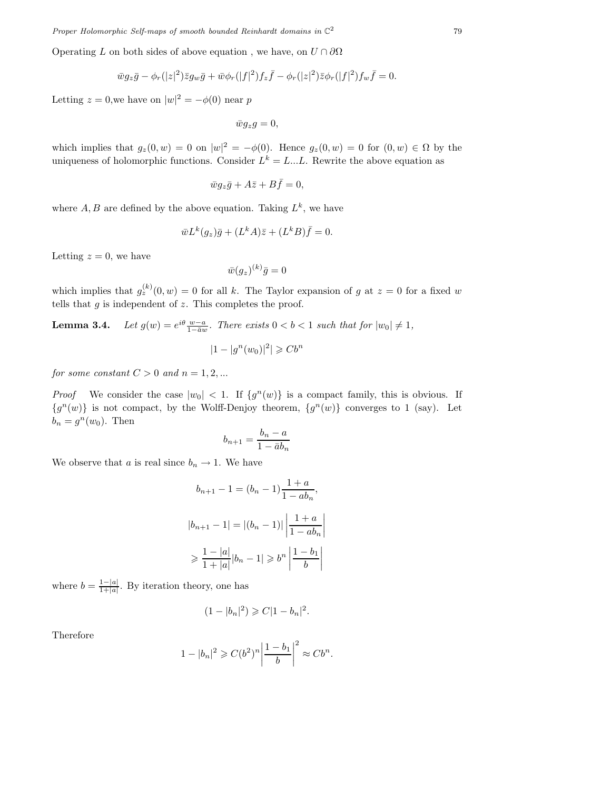Operating L on both sides of above equation, we have, on  $U \cap \partial \Omega$ 

$$
\overline{w}g_{z}\overline{g} - \phi_{r}(|z|^{2})\overline{z}g_{w}\overline{g} + \overline{w}\phi_{r}(|f|^{2})f_{z}\overline{f} - \phi_{r}(|z|^{2})\overline{z}\phi_{r}(|f|^{2})f_{w}\overline{f} = 0.
$$

Letting  $z = 0$ , we have on  $|w|^2 = -\phi(0)$  near p

 $\bar{w}g_z g = 0,$ 

which implies that  $g_z(0, w) = 0$  on  $|w|^2 = -\phi(0)$ . Hence  $g_z(0, w) = 0$  for  $(0, w) \in \Omega$  by the uniqueness of holomorphic functions. Consider  $L^k = L...L$ . Rewrite the above equation as

$$
\bar{w}g_{z}\bar{g} + A\bar{z} + B\bar{f} = 0,
$$

where  $A, B$  are defined by the above equation. Taking  $L^k$ , we have

$$
\bar{w}L^k(g_z)\bar{g} + (L^kA)\bar{z} + (L^kB)\bar{f} = 0.
$$

Letting  $z = 0$ , we have

$$
\bar{w}(g_z)^{(k)}\bar{g}=0
$$

which implies that  $g_z^{(k)}(0, w) = 0$  for all k. The Taylor expansion of g at  $z = 0$  for a fixed w tells that  $q$  is independent of  $z$ . This completes the proof.

**Lemma 3.4.** *Let*  $g(w) = e^{i\theta} \frac{w-a}{1-\overline{a}w}$ *. There exists*  $0 < b < 1$  *such that for*  $|w_0| \neq 1$ *,*  $|1 - |g^n(w_0)|^2| \geq Cb^n$ 

*for some constant*  $C > 0$  *and*  $n = 1, 2, ...$ 

*Proof* We consider the case  $|w_0| < 1$ . If  $\{g^n(w)\}\$ is a compact family, this is obvious. If  ${g<sup>n</sup>(w)}$  is not compact, by the Wolff-Denjoy theorem,  ${g<sup>n</sup>(w)}$  converges to 1 (say). Let  $b_n = g^n(w_0)$ . Then

$$
b_{n+1} = \frac{b_n - a}{1 - \bar{a}b_n}
$$

We observe that a is real since  $b_n \to 1$ . We have

$$
b_{n+1} - 1 = (b_n - 1) \frac{1+a}{1 - ab_n},
$$
  

$$
|b_{n+1} - 1| = |(b_n - 1)| \left| \frac{1+a}{1 - ab_n} \right|
$$
  

$$
\geq \frac{1-|a|}{1+|a|} |b_n - 1| \geq b^n \left| \frac{1-b_1}{b} \right|
$$

where  $b = \frac{1-|a|}{1+|a|}$ . By iteration theory, one has

$$
(1-|b_n|^2) \geqslant C|1-b_n|^2.
$$

Therefore

$$
1-|b_n|^2 \geqslant C(b^2)^n \left| \frac{1-b_1}{b} \right|^2 \approx Cb^n.
$$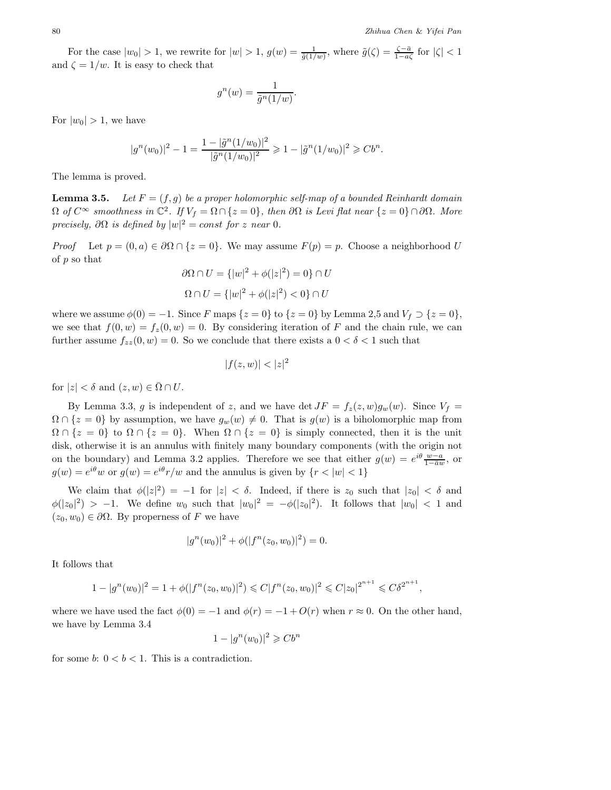For the case  $|w_0| > 1$ , we rewrite for  $|w| > 1$ ,  $g(w) = \frac{1}{\tilde{g}(1/w)}$ , where  $\tilde{g}(\zeta) = \frac{\zeta - \bar{a}}{1 - a\zeta}$  for  $|\zeta| < 1$ and  $\zeta = 1/w$ . It is easy to check that

$$
g^n(w) = \frac{1}{\tilde{g}^n(1/w)}.
$$

For  $|w_0| > 1$ , we have

$$
|g^n(w_0)|^2 - 1 = \frac{1 - |\tilde{g}^n(1/w_0)|^2}{|\tilde{g}^n(1/w_0)|^2} \geq 1 - |\tilde{g}^n(1/w_0)|^2 \geq Cb^n.
$$

The lemma is proved.

**Lemma 3.5.** *Let*  $F = (f, g)$  *be a proper holomorphic self-map of a bounded Reinhardt domain*  $\Omega$  *of*  $C^{\infty}$  *smoothness in*  $\mathbb{C}^2$ *. If*  $V_f = \Omega \cap \{z = 0\}$ *, then*  $\partial \Omega$  *is Levi flat near*  $\{z = 0\} \cap \partial \Omega$ *. More precisely,*  $\partial \Omega$  *is defined by*  $|w|^2 = const$  *for* z *near* 0*.* 

*Proof* Let  $p = (0, a) \in \partial\Omega \cap \{z = 0\}$ . We may assume  $F(p) = p$ . Choose a neighborhood U of p so that

$$
\partial\Omega \cap U = \{|w|^2 + \phi(|z|^2) = 0\} \cap U
$$
  

$$
\Omega \cap U = \{|w|^2 + \phi(|z|^2) < 0\} \cap U
$$

where we assume  $\phi(0) = -1$ . Since F maps  $\{z = 0\}$  to  $\{z = 0\}$  by Lemma 2,5 and  $V_f \supset \{z = 0\}$ , we see that  $f(0, w) = f_z(0, w) = 0$ . By considering iteration of F and the chain rule, we can further assume  $f_{zz}(0, w) = 0$ . So we conclude that there exists a  $0 < \delta < 1$  such that

$$
|f(z, w)| < |z|^2
$$

for  $|z| < \delta$  and  $(z,w) \in \overline{\Omega} \cap U$ .

By Lemma 3.3, g is independent of z, and we have det  $JF = f_z(z,w)g_w(w)$ . Since  $V_f =$  $\Omega \cap \{z = 0\}$  by assumption, we have  $g_w(w) \neq 0$ . That is  $g(w)$  is a biholomorphic map from  $\Omega \cap \{z = 0\}$  to  $\Omega \cap \{z = 0\}$ . When  $\Omega \cap \{z = 0\}$  is simply connected, then it is the unit disk, otherwise it is an annulus with finitely many boundary components (with the origin not on the boundary) and Lemma 3.2 applies. Therefore we see that either  $g(w) = e^{i\theta} \frac{w-a}{1-\overline{a}w}$ , or  $g(w) = e^{i\theta}w$  or  $g(w) = e^{i\theta}g(w)$  or  $g(w) = e^{i\theta}g(w)$  and the applies is given by  $\{x \le |w| \le 1\}$  $g(w) = e^{i\theta}w$  or  $g(w) = e^{i\theta}r/w$  and the annulus is given by  $\{r < |w| < 1\}$ 

We claim that  $\phi(|z|^2) = -1$  for  $|z| < \delta$ . Indeed, if there is  $z_0$  such that  $|z_0| < \delta$  and  $|z_0| > 1$  We define we such that  $|w_0|^2 = \phi(|z_0|^2)$ . It follows that  $|w_0| < 1$  and  $\phi(|z_0|^2) > -1$ . We define  $w_0$  such that  $|w_0|^2 = -\phi(|z_0|^2)$ . It follows that  $|w_0| < 1$  and  $(z_0, w_0) \in \partial \Omega$ . By properness of F we have

$$
|g^{n}(w_{0})|^{2} + \phi(|f^{n}(z_{0}, w_{0})|^{2}) = 0.
$$

It follows that

$$
1 - |g^{n}(w_0)|^2 = 1 + \phi(|f^{n}(z_0, w_0)|^2) \leq C|f^{n}(z_0, w_0)|^2 \leq C|z_0|^{2^{n+1}} \leq C\delta^{2^{n+1}},
$$

where we have used the fact  $\phi(0) = -1$  and  $\phi(r) = -1 + O(r)$  when  $r \approx 0$ . On the other hand, we have by Lemma 3.4

$$
1 - |g^n(w_0)|^2 \geqslant Cb^n
$$

for some b:  $0 < b < 1$ . This is a contradiction.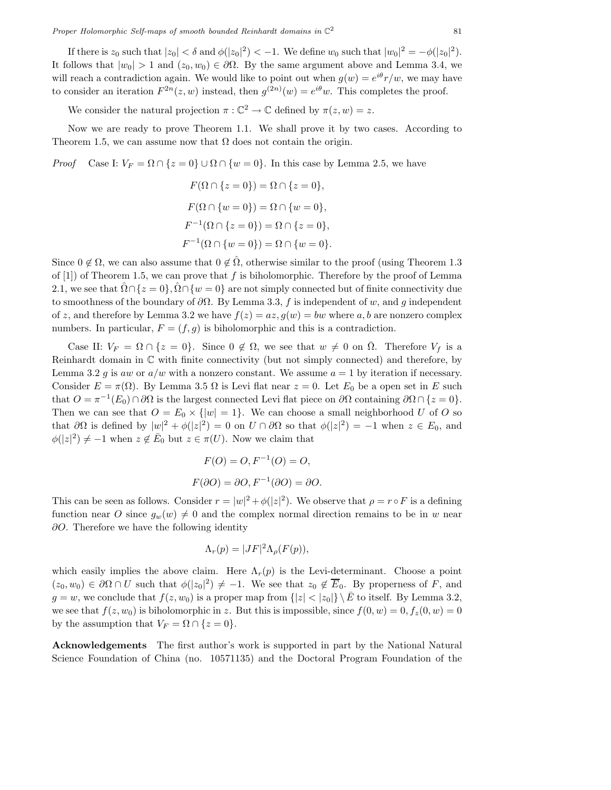If there is  $z_0$  such that  $|z_0| < \delta$  and  $\phi(|z_0|^2) < -1$ . We define  $w_0$  such that  $|w_0|^2 = -\phi(|z_0|^2)$ . It follows that  $|w_0| > 1$  and  $(z_0, w_0) \in \partial \Omega$ . By the same argument above and Lemma 3.4, we will reach a contradiction again. We would like to point out when  $g(w) = e^{i\theta} r/w$ , we may have to consider an iteration  $F^{2n}(z,w)$  instead, then  $g^{(2n)}(w) = e^{i\theta}w$ . This completes the proof.

We consider the natural projection  $\pi : \mathbb{C}^2 \to \mathbb{C}$  defined by  $\pi(z,w) = z$ .

Now we are ready to prove Theorem 1.1. We shall prove it by two cases. According to Theorem 1.5, we can assume now that  $\Omega$  does not contain the origin.

*Proof* Case I:  $V_F = \Omega \cap \{z = 0\} \cup \Omega \cap \{w = 0\}$ . In this case by Lemma 2.5, we have

$$
F(\Omega \cap \{z = 0\}) = \Omega \cap \{z = 0\},
$$
  
\n
$$
F(\Omega \cap \{w = 0\}) = \Omega \cap \{w = 0\},
$$
  
\n
$$
F^{-1}(\Omega \cap \{z = 0\}) = \Omega \cap \{z = 0\},
$$
  
\n
$$
F^{-1}(\Omega \cap \{w = 0\}) = \Omega \cap \{w = 0\}.
$$

Since  $0 \notin \Omega$ , we can also assume that  $0 \notin \hat{\Omega}$ , otherwise similar to the proof (using Theorem 1.3 of [1]) of Theorem 1.5, we can prove that f is biholomorphic. Therefore by the proof of Lemma 2.1, we see that  $\Omega \cap \{z = 0\}$ ,  $\Omega \cap \{w = 0\}$  are not simply connected but of finite connectivity due to smoothness of the boundary of  $\partial\Omega$ . By Lemma 3.3, f is independent of w, and g independent of z, and therefore by Lemma 3.2 we have  $f(z) = az, g(w) = bw$  where a, b are nonzero complex numbers. In particular,  $F = (f, g)$  is biholomorphic and this is a contradiction.

Case II:  $V_F = \Omega \cap \{z = 0\}$ . Since  $0 \notin \Omega$ , we see that  $w \neq 0$  on  $\overline{\Omega}$ . Therefore  $V_f$  is a Reinhardt domain in C with finite connectivity (but not simply connected) and therefore, by Lemma 3.2 g is aw or  $a/w$  with a nonzero constant. We assume  $a = 1$  by iteration if necessary. Consider  $E = \pi(\Omega)$ . By Lemma 3.5  $\Omega$  is Levi flat near  $z = 0$ . Let  $E_0$  be a open set in E such that  $O = \pi^{-1}(E_0) \cap \partial \Omega$  is the largest connected Levi flat piece on  $\partial \Omega$  containing  $\partial \Omega \cap \{z = 0\}$ . Then we can see that  $O = E_0 \times \{|w| = 1\}$ . We can choose a small neighborhood U of O so that  $\partial\Omega$  is defined by  $|w|^2 + \phi(|z|^2) = 0$  on  $U \cap \partial\Omega$  so that  $\phi(|z|^2) = -1$  when  $z \in E_0$ , and  $\phi(|z|^2) \neq -1$  when  $z \notin \overline{E}_1$  by  $z \in \sigma(U)$ . Now we also that  $\phi(|z|^2) \neq -1$  when  $z \notin \overline{E}_0$  but  $z \in \pi(U)$ . Now we claim that

$$
F(O) = O, F^{-1}(O) = O,
$$
  

$$
F(\partial O) = \partial O, F^{-1}(\partial O) = \partial O.
$$

This can be seen as follows. Consider  $r = |w|^2 + \phi(|z|^2)$ . We observe that  $\rho = r \circ F$  is a defining<br>function near  $Q$  gines  $g_{\mu}(w) \neq 0$  and the complex nearest direction nearing to be in an near function near O since  $g_w(w) \neq 0$  and the complex normal direction remains to be in w near ∂O. Therefore we have the following identity

$$
\Lambda_r(p) = |JF|^2 \Lambda_\rho(F(p)),
$$

which easily implies the above claim. Here  $\Lambda_r(p)$  is the Levi-determinant. Choose a point  $(z_0, w_0) \in \partial \Omega \cap U$  such that  $\phi(|z_0|^2) \neq -1$ . We see that  $z_0 \notin \overline{E}_0$ . By properness of F, and  $z_0 = w$ , we see each that  $f(z_0, w_0)$  is a proper map from  $(|z| \leq |z_0|) \setminus \overline{E}$  to itself. By Lamma 2.2.  $g = w$ , we conclude that  $f(z, w_0)$  is a proper map from  $\{|z| < |z_0|\} \setminus \overline{E}$  to itself. By Lemma 3.2, we see that  $f(z, w_0)$  is biholomorphic in z. But this is impossible, since  $f(0, w)=0, f_z(0, w)=0$ by the assumption that  $V_F = \Omega \cap \{z = 0\}.$ 

**Acknowledgements** The first author's work is supported in part by the National Natural Science Foundation of China (no. 10571135) and the Doctoral Program Foundation of the